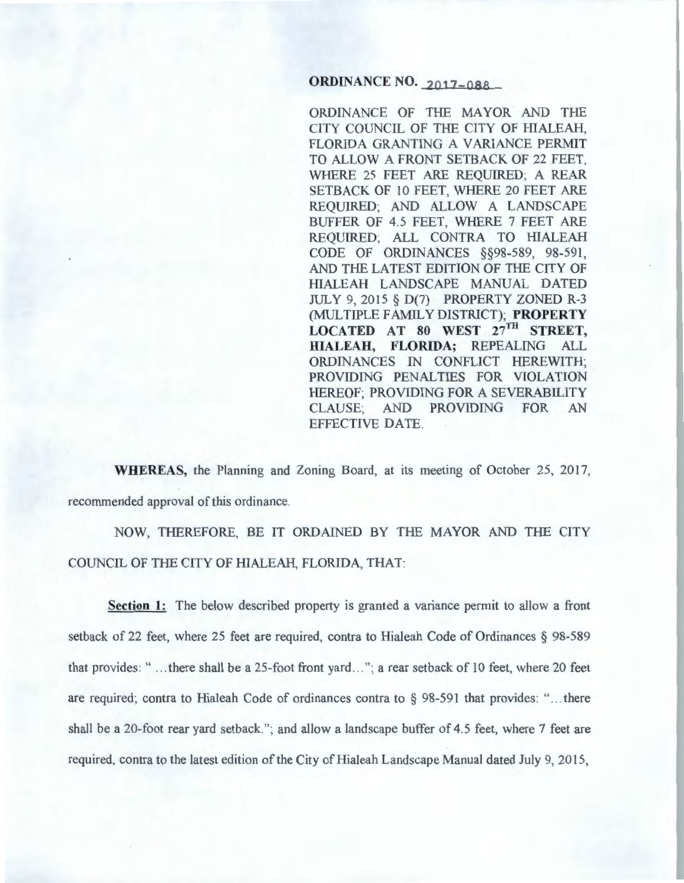# **ORDINANCE NO. 2017-088**

ORDINANCE OF THE MAYOR AND THE CITY COUNCIL OF THE CITY OF HIALEAH, FLORIDA GRANTING A VARIANCE PERMIT TO ALLOW A FRONT SETBACK OF 22 FEET, WHERE 25 FEET ARE REQUIRED; A REAR SETBACK OF 10 FEET, WHERE 20 FEET ARE REQUIRED; AND ALLOW A LANDSCAPE BUFFER OF 4.5 FEET, WHERE 7 FEET ARE REQUIRED; ALL CONTRA TO HIALEAH CODE OF ORDINANCES §§98-589, 98-591, AND THE LATEST EDITION OF THE CITY OF HIALEAH LANDSCAPE MANUAL DATED JULY 9, 2015 § D(7) PROPERTY ZONED R-3 (MULTIPLE FAMILY DISTRICT); **PROPERTY**  LOCATED AT 80 WEST  $27^{\text{TH}}$  **STREET, HIALEAH, FLORIDA;** REPEALING ALL ORDINANCES IN CONFLICT HEREWITH; PROVIDING PENALTIES FOR VIOLATION HEREOF; PROVIDING FOR A SEVERABILITY CLAUSE; AND PROVIDING FOR AN EFFECTIVE DATE.

**WHEREAS,** the Planning and Zoning Board, at its meeting of October 25, 2017, recommended approval of this ordinance.

NOW, THEREFORE, BE IT ORDAINED BY THE MAYOR AND THE CITY COUNCIL OF THE CITY OF HIALEAH, FLORIDA, THAT:

**Section 1:** The below described property is granted a variance permit to allow a front setback of 22 feet, where 25 feet are required, contra to Hialeah Code of Ordinances § 98-589 that provides: "... there shall be a 25-foot front yard..."; a rear setback of 10 feet, where 20 feet are required; contra to Hialeah Code of ordinances contra to  $\S$  98-591 that provides: "... there shall be a 20-foot rear yard setback''; and allow a landscape buffer of 4.5 feet, where 7 feet are required, contra to the latest edition of the City of Hialeah Landscape Manual dated July 9, 2015,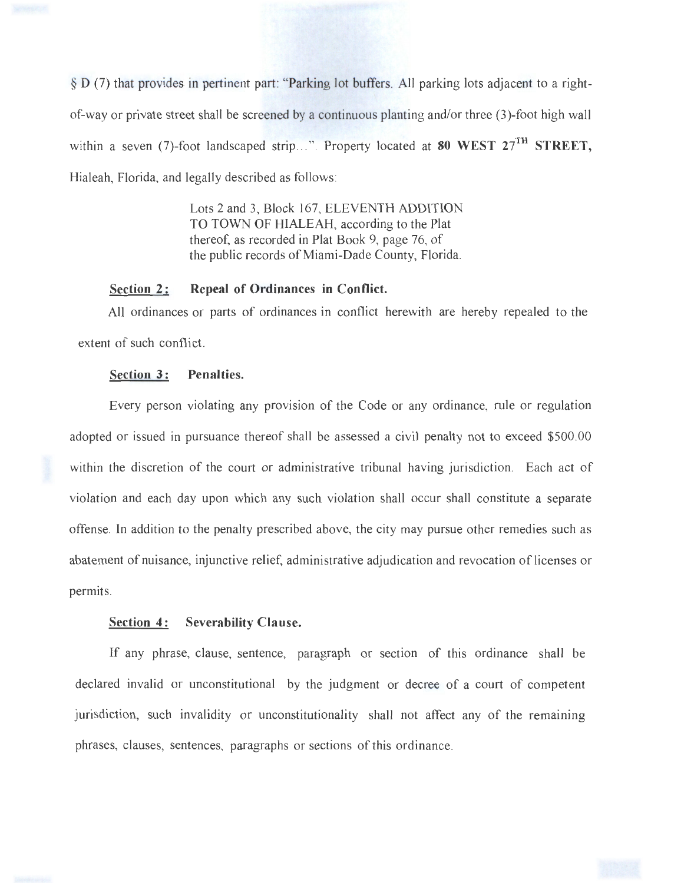

§ D (7) that provides in pertinent part: "Parking lot buffers. All parking lots adjacent to a rightof-way or private street shall be screened by a continuous planting and/or three (3)-foot high wall within a seven (7)-foot landscaped strip...". Property located at 80 WEST  $27^{TH}$  STREET, Hialeah, Florida, and legally described as follows:

> Lots 2 and 3, Block 167, ELEVENTH ADDITION TO TOWN OF HIALEAH, according to the Plat thereof, as recorded in Plat Book 9, page 76, of the public records of Miami-Dade County, Florida.

#### Section 2: Repeal of Ordinances in Conflict.

All ordinances or parts of ordinances in conflict herewith are hereby repealed to the extent of such conflict.

### Section 3: Penalties.

Every person violating any provision of the Code or any ordinance, rule or regulation adopted or issued in pursuance thereof shall be assessed a civil penalty not to exceed \$500.00 within the discretion of the court or administrative tribunal having jurisdiction. Each act of violation and each day upon which any such violation shall occur shall constitute a separate offense. In addition to the penalty prescribed above, the city may pursue other remedies such as abatement of nuisance, injunctive relief, administrative adjudication and revocation of licenses or permits.

#### Section 4: Severability Clause.

If any phrase, clause, sentence, paragraph or section of this ordinance shall be declared invalid or unconstitutional by the judgment or decree of a court of competent jurisdiction, such invalidity or unconstitutionality shall not affect any of the remaining phrases, clauses, sentences, paragraphs or sections of this ordinance.